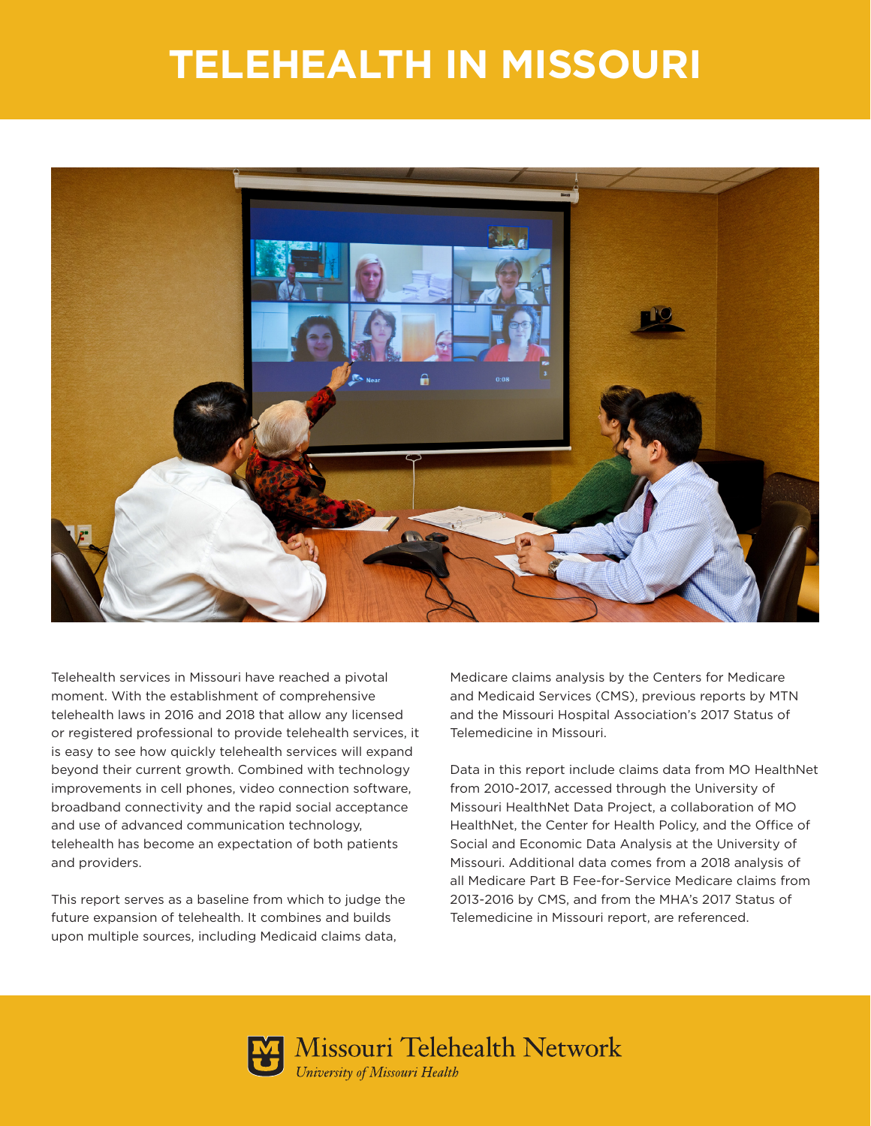## **TELEHEALTH IN MISSOURI**



Telehealth services in Missouri have reached a pivotal moment. With the establishment of comprehensive telehealth laws in 2016 and 2018 that allow any licensed or registered professional to provide telehealth services, it is easy to see how quickly telehealth services will expand beyond their current growth. Combined with technology improvements in cell phones, video connection software, broadband connectivity and the rapid social acceptance and use of advanced communication technology, telehealth has become an expectation of both patients and providers.

This report serves as a baseline from which to judge the future expansion of telehealth. It combines and builds upon multiple sources, including Medicaid claims data,

Medicare claims analysis by the Centers for Medicare and Medicaid Services (CMS), previous reports by MTN and the Missouri Hospital Association's 2017 Status of Telemedicine in Missouri.

Data in this report include claims data from MO HealthNet from 2010-2017, accessed through the University of Missouri HealthNet Data Project, a collaboration of MO HealthNet, the Center for Health Policy, and the Office of Social and Economic Data Analysis at the University of Missouri. Additional data comes from a 2018 analysis of all Medicare Part B Fee-for-Service Medicare claims from 2013-2016 by CMS, and from the MHA's 2017 Status of Telemedicine in Missouri report, are referenced.



Missouri Telehealth Network University of Missouri Health